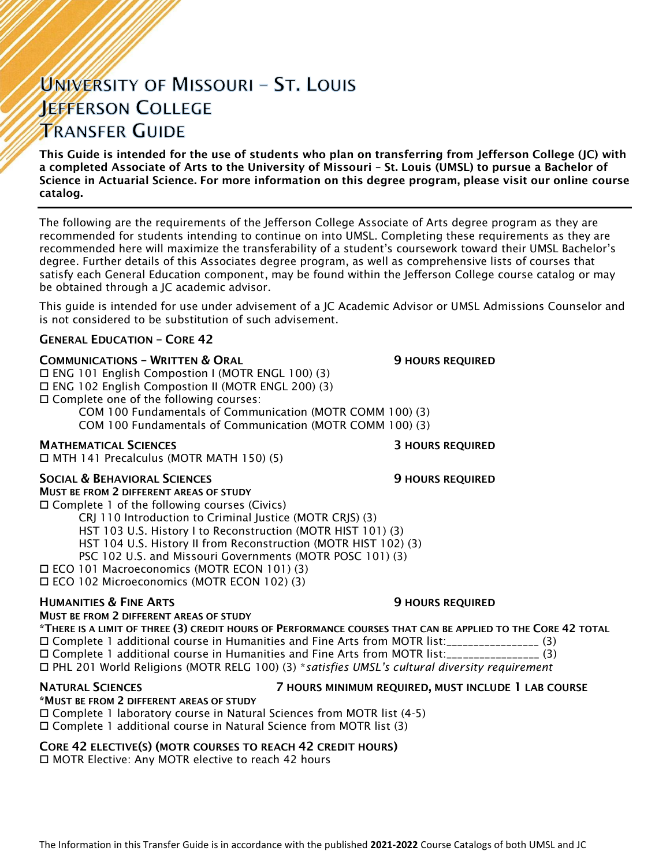# UNIVERSITY OF MISSOURI - ST. LOUIS **JEFFERSON COLLEGE TRANSFER GUIDE**

This Guide is intended for the use of students who plan on transferring from Jefferson College (JC) with a completed Associate of Arts to the University of Missouri – St. Louis (UMSL) to pursue a Bachelor of Science in Actuarial Science. For more information on this degree program, please visit our online course catalog.

The following are the requirements of the Jefferson College Associate of Arts degree program as they are recommended for students intending to continue on into UMSL. Completing these requirements as they are recommended here will maximize the transferability of a student's coursework toward their UMSL Bachelor's degree. Further details of this Associates degree program, as well as comprehensive lists of courses that satisfy each General Education component, may be found within the Jefferson College course catalog or may be obtained through a JC academic advisor.

This guide is intended for use under advisement of a JC Academic Advisor or UMSL Admissions Counselor and is not considered to be substitution of such advisement.

## GENERAL EDUCATION – CORE 42

## **COMMUNICATIONS - WRITTEN & ORAL 5 AU SERVICE SEX ASSESSED AT AU SERVICE OF STATIONS REQUIRED**

 ENG 101 English Compostion I (MOTR ENGL 100) (3) ENG 102 English Compostion II (MOTR ENGL 200) (3) Complete one of the following courses: COM 100 Fundamentals of Communication (MOTR COMM 100) (3)

COM 100 Fundamentals of Communication (MOTR COMM 100) (3)

## **MATHEMATICAL SCIENCES 3 HOURS REQUIRED**

MTH 141 Precalculus (MOTR MATH 150) (5)

## SOCIAL & BEHAVIORAL SCIENCES **19 SOCIAL SERVICES** 9 HOURS REQUIRED

MUST BE FROM 2 DIFFERENT AREAS OF STUDY Complete 1 of the following courses (Civics)

CRJ 110 Introduction to Criminal Justice (MOTR CRJS) (3)

HST 103 U.S. History I to Reconstruction (MOTR HIST 101) (3)

HST 104 U.S. History II from Reconstruction (MOTR HIST 102) (3)

- PSC 102 U.S. and Missouri Governments (MOTR POSC 101) (3)
- ECO 101 Macroeconomics (MOTR ECON 101) (3)

ECO 102 Microeconomics (MOTR ECON 102) (3)

## **HUMANITIES & FINE ARTS 19 ACCESS 20 HOURS REQUIRED**

## MUST BE FROM 2 DIFFERENT AREAS OF STUDY

\*THERE IS A LIMIT OF THREE (3) CREDIT HOURS OF PERFORMANCE COURSES THAT CAN BE APPLIED TO THE CORE 42 TOTAL Complete 1 additional course in Humanities and Fine Arts from MOTR list:\_\_\_\_\_\_\_\_\_\_\_\_\_\_\_\_\_ (3) Complete 1 additional course in Humanities and Fine Arts from MOTR list:\_\_\_\_\_\_\_\_\_\_\_\_\_\_\_\_\_ (3) PHL 201 World Religions (MOTR RELG 100) (3) \**satisfies UMSL's cultural diversity requirement*

# \*MUST BE FROM 2 DIFFERENT AREAS OF STUDY

### NATURAL SCIENCES 7 HOURS MINIMUM REQUIRED, MUST INCLUDE 1 LAB COURSE

 Complete 1 laboratory course in Natural Sciences from MOTR list (4-5) Complete 1 additional course in Natural Science from MOTR list (3)

## CORE 42 ELECTIVE(S) (MOTR COURSES TO REACH 42 CREDIT HOURS)

□ MOTR Elective: Any MOTR elective to reach 42 hours